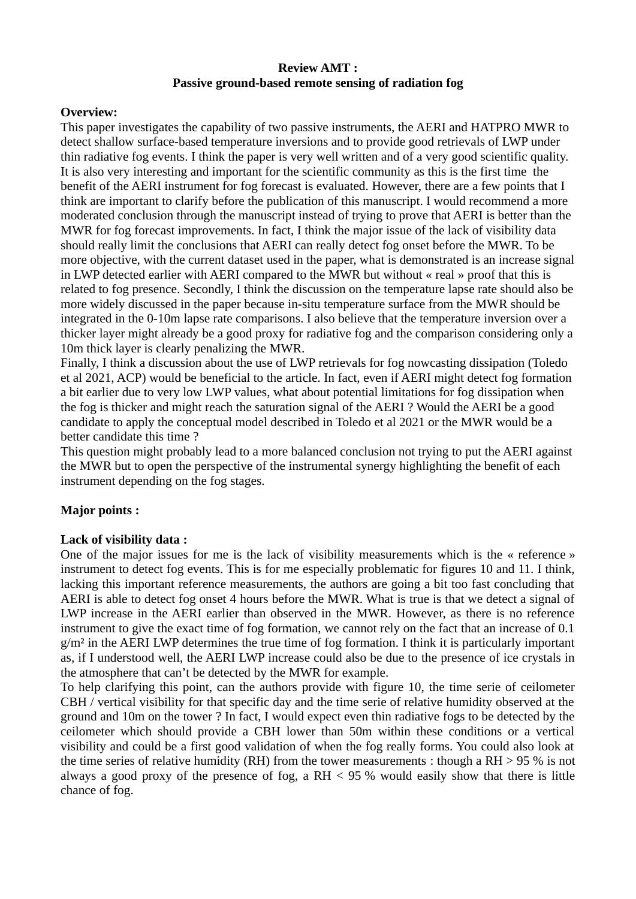### **Review AMT : Passive ground-based remote sensing of radiation fog**

### **Overview:**

This paper investigates the capability of two passive instruments, the AERI and HATPRO MWR to detect shallow surface-based temperature inversions and to provide good retrievals of LWP under thin radiative fog events. I think the paper is very well written and of a very good scientific quality. It is also very interesting and important for the scientific community as this is the first time the benefit of the AERI instrument for fog forecast is evaluated. However, there are a few points that I think are important to clarify before the publication of this manuscript. I would recommend a more moderated conclusion through the manuscript instead of trying to prove that AERI is better than the MWR for fog forecast improvements. In fact, I think the major issue of the lack of visibility data should really limit the conclusions that AERI can really detect fog onset before the MWR. To be more objective, with the current dataset used in the paper, what is demonstrated is an increase signal in LWP detected earlier with AERI compared to the MWR but without « real » proof that this is related to fog presence. Secondly, I think the discussion on the temperature lapse rate should also be more widely discussed in the paper because in-situ temperature surface from the MWR should be integrated in the 0-10m lapse rate comparisons. I also believe that the temperature inversion over a thicker layer might already be a good proxy for radiative fog and the comparison considering only a 10m thick layer is clearly penalizing the MWR.

Finally, I think a discussion about the use of LWP retrievals for fog nowcasting dissipation (Toledo et al 2021, ACP) would be beneficial to the article. In fact, even if AERI might detect fog formation a bit earlier due to very low LWP values, what about potential limitations for fog dissipation when the fog is thicker and might reach the saturation signal of the AERI ? Would the AERI be a good candidate to apply the conceptual model described in Toledo et al 2021 or the MWR would be a better candidate this time ?

This question might probably lead to a more balanced conclusion not trying to put the AERI against the MWR but to open the perspective of the instrumental synergy highlighting the benefit of each instrument depending on the fog stages.

# **Major points :**

# **Lack of visibility data :**

One of the major issues for me is the lack of visibility measurements which is the « reference » instrument to detect fog events. This is for me especially problematic for figures 10 and 11. I think, lacking this important reference measurements, the authors are going a bit too fast concluding that AERI is able to detect fog onset 4 hours before the MWR. What is true is that we detect a signal of LWP increase in the AERI earlier than observed in the MWR. However, as there is no reference instrument to give the exact time of fog formation, we cannot rely on the fact that an increase of 0.1  $g/m<sup>2</sup>$  in the AERI LWP determines the true time of fog formation. I think it is particularly important as, if I understood well, the AERI LWP increase could also be due to the presence of ice crystals in the atmosphere that can't be detected by the MWR for example.

To help clarifying this point, can the authors provide with figure 10, the time serie of ceilometer CBH / vertical visibility for that specific day and the time serie of relative humidity observed at the ground and 10m on the tower ? In fact, I would expect even thin radiative fogs to be detected by the ceilometer which should provide a CBH lower than 50m within these conditions or a vertical visibility and could be a first good validation of when the fog really forms. You could also look at the time series of relative humidity (RH) from the tower measurements : though a RH > 95 % is not always a good proxy of the presence of fog, a  $RH < 95$ % would easily show that there is little chance of fog.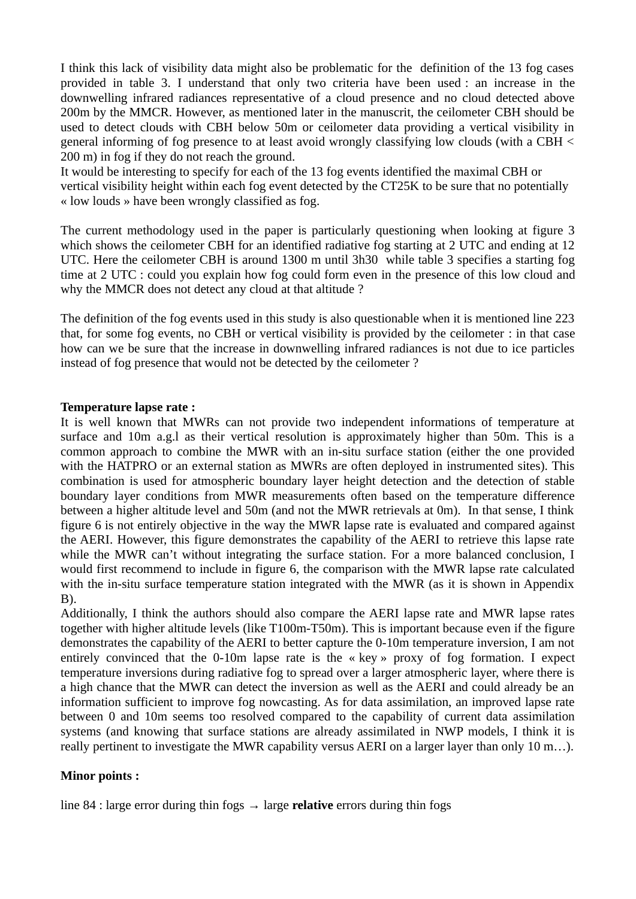I think this lack of visibility data might also be problematic for the definition of the 13 fog cases provided in table 3. I understand that only two criteria have been used : an increase in the downwelling infrared radiances representative of a cloud presence and no cloud detected above 200m by the MMCR. However, as mentioned later in the manuscrit, the ceilometer CBH should be used to detect clouds with CBH below 50m or ceilometer data providing a vertical visibility in general informing of fog presence to at least avoid wrongly classifying low clouds (with a CBH < 200 m) in fog if they do not reach the ground.

It would be interesting to specify for each of the 13 fog events identified the maximal CBH or vertical visibility height within each fog event detected by the CT25K to be sure that no potentially « low louds » have been wrongly classified as fog.

The current methodology used in the paper is particularly questioning when looking at figure 3 which shows the ceilometer CBH for an identified radiative fog starting at 2 UTC and ending at 12 UTC. Here the ceilometer CBH is around 1300 m until 3h30 while table 3 specifies a starting fog time at 2 UTC : could you explain how fog could form even in the presence of this low cloud and why the MMCR does not detect any cloud at that altitude ?

The definition of the fog events used in this study is also questionable when it is mentioned line 223 that, for some fog events, no CBH or vertical visibility is provided by the ceilometer : in that case how can we be sure that the increase in downwelling infrared radiances is not due to ice particles instead of fog presence that would not be detected by the ceilometer ?

### **Temperature lapse rate :**

It is well known that MWRs can not provide two independent informations of temperature at surface and 10m a.g.l as their vertical resolution is approximately higher than 50m. This is a common approach to combine the MWR with an in-situ surface station (either the one provided with the HATPRO or an external station as MWRs are often deployed in instrumented sites). This combination is used for atmospheric boundary layer height detection and the detection of stable boundary layer conditions from MWR measurements often based on the temperature difference between a higher altitude level and 50m (and not the MWR retrievals at 0m). In that sense, I think figure 6 is not entirely objective in the way the MWR lapse rate is evaluated and compared against the AERI. However, this figure demonstrates the capability of the AERI to retrieve this lapse rate while the MWR can't without integrating the surface station. For a more balanced conclusion, I would first recommend to include in figure 6, the comparison with the MWR lapse rate calculated with the in-situ surface temperature station integrated with the MWR (as it is shown in Appendix B).

Additionally, I think the authors should also compare the AERI lapse rate and MWR lapse rates together with higher altitude levels (like T100m-T50m). This is important because even if the figure demonstrates the capability of the AERI to better capture the 0-10m temperature inversion, I am not entirely convinced that the 0-10m lapse rate is the « key » proxy of fog formation. I expect temperature inversions during radiative fog to spread over a larger atmospheric layer, where there is a high chance that the MWR can detect the inversion as well as the AERI and could already be an information sufficient to improve fog nowcasting. As for data assimilation, an improved lapse rate between 0 and 10m seems too resolved compared to the capability of current data assimilation systems (and knowing that surface stations are already assimilated in NWP models, I think it is really pertinent to investigate the MWR capability versus AERI on a larger layer than only 10 m…).

### **Minor points :**

line 84 : large error during thin fogs → large **relative** errors during thin fogs